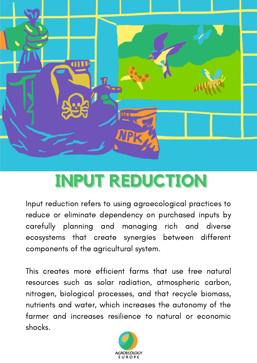

# **INPUT REDUCTION**

Input reduction refers to using agroecological practices to reduce or eliminate dependency on purchased inputs by carefully planning and managing rich and diverse ecosystems that create synergies between different components of the agricultural system.

This creates more efficient farms that use free natural resources such as solar radiation, atmospheric carbon, nitrogen, biological processes, and that recycle biomass, nutrients and water, which increases the autonomy of the farmer and increases resilience to natural or economic shocks.

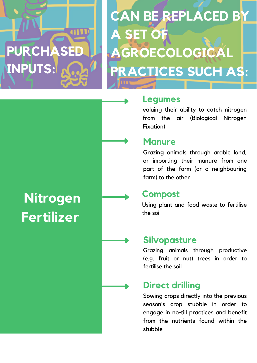# **PURCHASED INPUTS:**

# **CAN BE REPLACED BY A SET OF AGROECOLOGICAL PRACTICES SUCH AS:**

# **Legumes**

valuing their ability to catch nitrogen from the air (Biological Nitrogen Fixation)

### **Manure**

Grazing animals through arable land, or importing their manure from one part of the farm (or a neighbouring farm) to the other

### **Compost**

Using plant and food waste to fertilise the soil

### **Silvopasture**

Grazing animals through productive (e.g. fruit or nut) trees in order to fertilise the soil

## **Direct drilling**

Sowing crops directly into the previous season's crop stubble in order to engage in no-till practices and benefit from the nutrients found within the stubble

# **Nitrogen Fertilizer**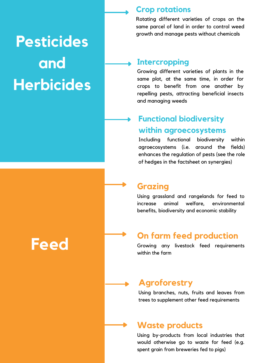# **Pesticides and Herbicides**

#### **Crop rotations**

Rotating different varieties of crops on the same parcel of land in order to control weed growth and manage pests without chemicals

#### **Intercropping**

Growing different varieties of plants in the same plot, at the same time, in order for crops to benefit from one another by repelling pests, attracting beneficial insects and managing weeds

### **Functional biodiversity within agroecosystems**

Including functional biodiversity within agroecosystems (i.e. around the fields) enhances the regulation of pests (see the role of hedges in the factsheet on synergies)

#### **Grazing**

Using grassland and rangelands for feed to increase animal welfare, environmental benefits, biodiversity and economic stability

### **On farm feed production**

Growing any livestock feed requirements within the farm

#### **Agroforestry**

Using branches, nuts, fruits and leaves from trees to supplement other feed requirements

#### **Waste products**

Using by-products from local industries that would otherwise go to waste for feed (e.g. spent grain from breweries fed to pigs)

**Feed**